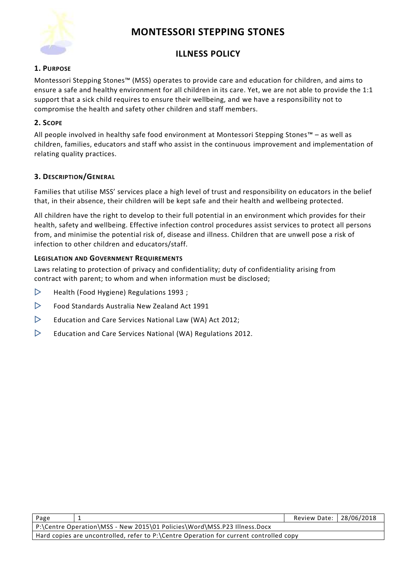

## **ILLNESS POLICY**

#### **1. PURPOSE**

Montessori Stepping Stones™ (MSS) operates to provide care and education for children, and aims to ensure a safe and healthy environment for all children in its care. Yet, we are not able to provide the 1:1 support that a sick child requires to ensure their wellbeing, and we have a responsibility not to compromise the health and safety other children and staff members.

#### **2. SCOPE**

All people involved in healthy safe food environment at Montessori Stepping Stones™ – as well as children, families, educators and staff who assist in the continuous improvement and implementation of relating quality practices.

#### **3. DESCRIPTION/GENERAL**

Families that utilise MSS' services place a high level of trust and responsibility on educators in the belief that, in their absence, their children will be kept safe and their health and wellbeing protected.

All children have the right to develop to their full potential in an environment which provides for their health, safety and wellbeing. Effective infection control procedures assist services to protect all persons from, and minimise the potential risk of, disease and illness. Children that are unwell pose a risk of infection to other children and educators/staff.

#### **LEGISLATION AND GOVERNMENT REQUIREMENTS**

Laws relating to protection of privacy and confidentiality; duty of confidentiality arising from contract with parent; to whom and when information must be disclosed;

- $\triangleright$  [Health \(Food Hygiene\) Regulations 1993](http://www.slp.wa.gov.au/legislation/agency.nsf/docep_main_mrtitle_4245_homepage.html);
- $\triangleright$  Food Standards Australia New Zealand Act 1991
- $\triangleright$  Education and Care Services National Law (WA) Act 2012;
- $\triangleright$  Education and Care Services National (WA) Regulations 2012.

| Page                                                                                   |  | Review Date: 28/06/2018 |  |
|----------------------------------------------------------------------------------------|--|-------------------------|--|
| P:\Centre Operation\MSS - New 2015\01 Policies\Word\MSS.P23 Illness.Docx               |  |                         |  |
| Hard copies are uncontrolled, refer to P:\Centre Operation for current controlled copy |  |                         |  |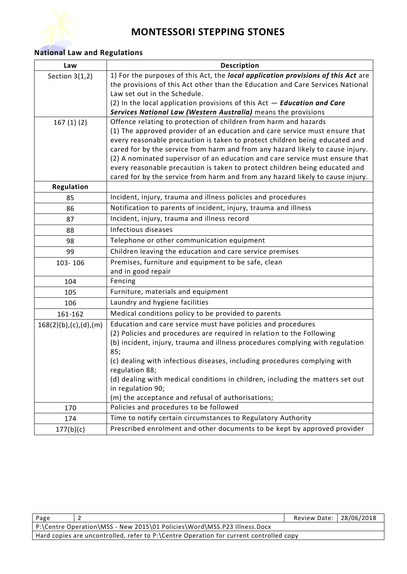

# **National Law and Regulations**

| Description<br>Law    |                                                                                                                                                            |  |
|-----------------------|------------------------------------------------------------------------------------------------------------------------------------------------------------|--|
| Section $3(1,2)$      | 1) For the purposes of this Act, the local application provisions of this Act are                                                                          |  |
|                       | the provisions of this Act other than the Education and Care Services National                                                                             |  |
|                       | Law set out in the Schedule.                                                                                                                               |  |
|                       | (2) In the local application provisions of this $Act - Education$ and Care                                                                                 |  |
|                       | Services National Law (Western Australia) means the provisions                                                                                             |  |
| 167(1)(2)             | Offence relating to protection of children from harm and hazards                                                                                           |  |
|                       | (1) The approved provider of an education and care service must ensure that<br>every reasonable precaution is taken to protect children being educated and |  |
|                       | cared for by the service from harm and from any hazard likely to cause injury.                                                                             |  |
|                       | (2) A nominated supervisor of an education and care service must ensure that                                                                               |  |
|                       | every reasonable precaution is taken to protect children being educated and                                                                                |  |
|                       | cared for by the service from harm and from any hazard likely to cause injury.                                                                             |  |
| Regulation            |                                                                                                                                                            |  |
| 85                    | Incident, injury, trauma and illness policies and procedures                                                                                               |  |
| 86                    | Notification to parents of incident, injury, trauma and illness                                                                                            |  |
| 87                    | Incident, injury, trauma and illness record                                                                                                                |  |
| 88                    | Infectious diseases                                                                                                                                        |  |
| 98                    | Telephone or other communication equipment                                                                                                                 |  |
| 99                    | Children leaving the education and care service premises                                                                                                   |  |
| 103-106               | Premises, furniture and equipment to be safe, clean                                                                                                        |  |
|                       | and in good repair                                                                                                                                         |  |
| 104                   | Fencing                                                                                                                                                    |  |
| 105                   | Furniture, materials and equipment                                                                                                                         |  |
| 106                   | Laundry and hygiene facilities                                                                                                                             |  |
| 161-162               | Medical conditions policy to be provided to parents                                                                                                        |  |
| 168(2)(b),(c),(d),(m) | Education and care service must have policies and procedures                                                                                               |  |
|                       | (2) Policies and procedures are required in relation to the Following                                                                                      |  |
|                       | (b) incident, injury, trauma and illness procedures complying with regulation                                                                              |  |
|                       | 85;                                                                                                                                                        |  |
|                       | (c) dealing with infectious diseases, including procedures complying with<br>regulation 88;                                                                |  |
|                       | (d) dealing with medical conditions in children, including the matters set out                                                                             |  |
|                       | in regulation 90;                                                                                                                                          |  |
|                       | (m) the acceptance and refusal of authorisations;                                                                                                          |  |
| 170                   | Policies and procedures to be followed                                                                                                                     |  |
| 174                   | Time to notify certain circumstances to Regulatory Authority                                                                                               |  |
| 177(b)(c)             | Prescribed enrolment and other documents to be kept by approved provider                                                                                   |  |

| Page                                                                                   |  | Review Date:   28/06/2018 |  |
|----------------------------------------------------------------------------------------|--|---------------------------|--|
| P:\Centre Operation\MSS - New 2015\01 Policies\Word\MSS.P23 Illness.Docx               |  |                           |  |
| Hard copies are uncontrolled, refer to P:\Centre Operation for current controlled copy |  |                           |  |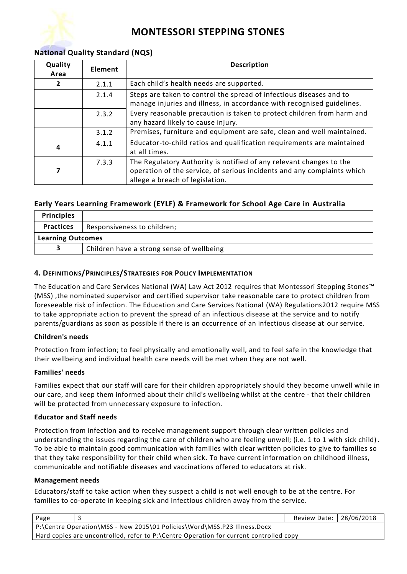

### **National Quality Standard (NQS)**

| Quality<br>Area | Element | <b>Description</b>                                                                                                                                                                |  |
|-----------------|---------|-----------------------------------------------------------------------------------------------------------------------------------------------------------------------------------|--|
|                 | 2.1.1   | Each child's health needs are supported.                                                                                                                                          |  |
|                 | 2.1.4   | Steps are taken to control the spread of infectious diseases and to<br>manage injuries and illness, in accordance with recognised guidelines.                                     |  |
|                 | 2.3.2   | Every reasonable precaution is taken to protect children from harm and<br>any hazard likely to cause injury.                                                                      |  |
|                 | 3.1.2   | Premises, furniture and equipment are safe, clean and well maintained.                                                                                                            |  |
| 4               | 4.1.1   | Educator-to-child ratios and qualification requirements are maintained<br>at all times.                                                                                           |  |
| 7               | 7.3.3   | The Regulatory Authority is notified of any relevant changes to the<br>operation of the service, of serious incidents and any complaints which<br>allege a breach of legislation. |  |

#### **Early Years Learning Framework (EYLF) & Framework for School Age Care in Australia**

| <b>Principles</b>        |                                           |  |
|--------------------------|-------------------------------------------|--|
| <b>Practices</b>         | Responsiveness to children;               |  |
| <b>Learning Outcomes</b> |                                           |  |
|                          | Children have a strong sense of wellbeing |  |

#### **4. DEFINITIONS/PRINCIPLES/STRATEGIES FOR POLICY IMPLEMENTATION**

The Education and Care Services National (WA) Law Act 2012 requires that Montessori Stepping Stones™ (MSS) ,the nominated supervisor and certified supervisor take reasonable care to protect children from foreseeable risk of infection. The Education and Care Services National (WA) Regulations2012 require MSS to take appropriate action to prevent the spread of an infectious disease at the service and to notify parents/guardians as soon as possible if there is an occurrence of an infectious disease at our service.

#### **Children's needs**

Protection from infection; to feel physically and emotionally well, and to feel safe in the knowledge that their wellbeing and individual health care needs will be met when they are not well.

#### **Families' needs**

Families expect that our staff will care for their children appropriately should they become unwell while in our care, and keep them informed about their child's wellbeing whilst at the centre - that their children will be protected from unnecessary exposure to infection.

#### **Educator and Staff needs**

Protection from infection and to receive management support through clear written policies and understanding the issues regarding the care of children who are feeling unwell; (i.e. 1 to 1 with sick child). To be able to maintain good communication with families with clear written policies to give to families so that they take responsibility for their child when sick. To have current information on childhood illness, communicable and notifiable diseases and vaccinations offered to educators at risk.

#### **Management needs**

Educators/staff to take action when they suspect a child is not well enough to be at the centre. For families to co-operate in keeping sick and infectious children away from the service.

| Page                                                                                   |  | Review Date: 28/06/2018 |  |
|----------------------------------------------------------------------------------------|--|-------------------------|--|
| P:\Centre Operation\MSS - New 2015\01 Policies\Word\MSS.P23 Illness.Docx               |  |                         |  |
| Hard copies are uncontrolled, refer to P:\Centre Operation for current controlled copy |  |                         |  |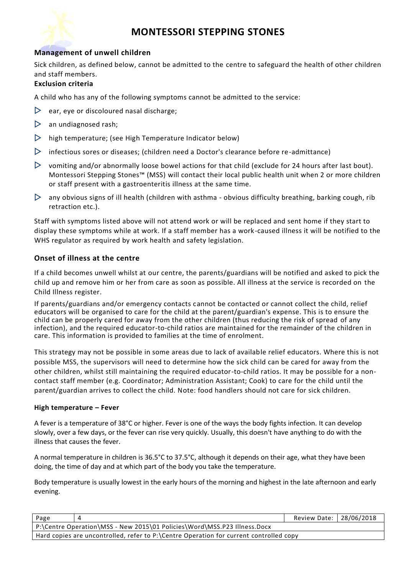#### **Management of unwell children**

Sick children, as defined below, cannot be admitted to the centre to safeguard the health of other children and staff members.

#### **Exclusion criteria**

A child who has any of the following symptoms cannot be admitted to the service:

- $\triangleright$  ear, eye or discoloured nasal discharge;
- $\triangleright$  an undiagnosed rash;
- $\triangleright$  high temperature; (see High Temperature Indicator below)
- $\triangleright$  infectious sores or diseases; (children need a Doctor's clearance before re-admittance)
- $\triangleright$  vomiting and/or abnormally loose bowel actions for that child (exclude for 24 hours after last bout). Montessori Stepping Stones™ (MSS) will contact their local public health unit when 2 or more children or staff present with a gastroenteritis illness at the same time.
- $\triangleright$  any obvious signs of ill health (children with asthma obvious difficulty breathing, barking cough, rib retraction etc.).

Staff with symptoms listed above will not attend work or will be replaced and sent home if they start to display these symptoms while at work. If a staff member has a work-caused illness it will be notified to the WHS regulator as required by work health and safety legislation.

#### **Onset of illness at the centre**

If a child becomes unwell whilst at our centre, the parents/guardians will be notified and asked to pick the child up and remove him or her from care as soon as possible. All illness at the service is recorded on the Child Illness register.

If parents/guardians and/or emergency contacts cannot be contacted or cannot collect the child, relief educators will be organised to care for the child at the parent/guardian's expense. This is to ensure the child can be properly cared for away from the other children (thus reducing the risk of spread of any infection), and the required educator-to-child ratios are maintained for the remainder of the children in care. This information is provided to families at the time of enrolment.

This strategy may not be possible in some areas due to lack of available relief educators. Where this is not possible MSS, the supervisors will need to determine how the sick child can be cared for away from the other children, whilst still maintaining the required educator-to-child ratios. It may be possible for a noncontact staff member (e.g. Coordinator; Administration Assistant; Cook) to care for the child until the parent/guardian arrives to collect the child. Note: food handlers should not care for sick children.

#### **High temperature – Fever**

A fever is a temperature of 38°C or higher. Fever is one of the ways the body fights infection. It can develop slowly, over a few days, or the fever can rise very quickly. Usually, this doesn't have anything to do with the illness that causes the fever.

A normal temperature in children is 36.5°C to 37.5°C, although it depends on their age, what they have been doing, the time of day and at which part of the body you take the temperature.

Body temperature is usually lowest in the early hours of the morning and highest in the late afternoon and early evening.

| Page                                                                                   |  | Review Date:   28/06/2018 |  |  |
|----------------------------------------------------------------------------------------|--|---------------------------|--|--|
| P:\Centre Operation\MSS - New 2015\01 Policies\Word\MSS.P23 Illness.Docx               |  |                           |  |  |
| Hard copies are uncontrolled, refer to P:\Centre Operation for current controlled copy |  |                           |  |  |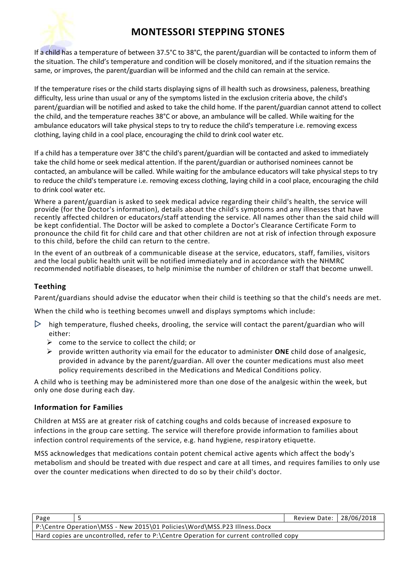

If a child has a temperature of between 37.5°C to 38°C, the parent/guardian will be contacted to inform them of the situation. The child's temperature and condition will be closely monitored, and if the situation remains the same, or improves, the parent/guardian will be informed and the child can remain at the service.

If the temperature rises or the child starts displaying signs of ill health such as drowsiness, paleness, breathing difficulty, less urine than usual or any of the symptoms listed in the exclusion criteria above, the child's parent/guardian will be notified and asked to take the child home. If the parent/guardian cannot attend to collect the child, and the temperature reaches 38°C or above, an ambulance will be called. While waiting for the ambulance educators will take physical steps to try to reduce the child's temperature i.e. removing excess clothing, laying child in a cool place, encouraging the child to drink cool water etc.

If a child has a temperature over 38°C the child's parent/guardian will be contacted and asked to immediately take the child home or seek medical attention. If the parent/guardian or authorised nominees cannot be contacted, an ambulance will be called. While waiting for the ambulance educators will take physical steps to try to reduce the child's temperature i.e. removing excess clothing, laying child in a cool place, encouraging the child to drink cool water etc.

Where a parent/guardian is asked to seek medical advice regarding their child's health, the service will provide (for the Doctor's information), details about the child's symptoms and any illnesses that have recently affected children or educators/staff attending the service. All names other than the said child will be kept confidential. The Doctor will be asked to complete a Doctor's Clearance Certificate Form to pronounce the child fit for child care and that other children are not at risk of infection through exposure to this child, before the child can return to the centre.

In the event of an outbreak of a communicable disease at the service, educators, staff, families, visitors and the local public health unit will be notified immediately and in accordance with the NHMRC recommended notifiable diseases, to help minimise the number of children or staff that become unwell.

#### **Teething**

Parent/guardians should advise the educator when their child is teething so that the child's needs are met.

When the child who is teething becomes unwell and displays symptoms which include:

- $\triangleright$  high temperature, flushed cheeks, drooling, the service will contact the parent/guardian who will either:
	- $\triangleright$  come to the service to collect the child: or
	- ➢ provide written authority via email for the educator to administer **ONE** child dose of analgesic, provided in advance by the parent/guardian. All over the counter medications must also meet policy requirements described in the Medications and Medical Conditions policy.

A child who is teething may be administered more than one dose of the analgesic within the week, but only one dose during each day.

#### **Information for Families**

Children at MSS are at greater risk of catching coughs and colds because of increased exposure to infections in the group care setting. The service will therefore provide information to families about infection control requirements of the service, e.g. hand hygiene, respiratory etiquette.

MSS acknowledges that medications contain potent chemical active agents which affect the body's metabolism and should be treated with due respect and care at all times, and requires families to only use over the counter medications when directed to do so by their child's doctor.

| Page                                                                                   |  | Review Date: 28/06/2018 |  |
|----------------------------------------------------------------------------------------|--|-------------------------|--|
| P:\Centre Operation\MSS - New 2015\01 Policies\Word\MSS.P23 Illness.Docx               |  |                         |  |
| Hard copies are uncontrolled, refer to P:\Centre Operation for current controlled copy |  |                         |  |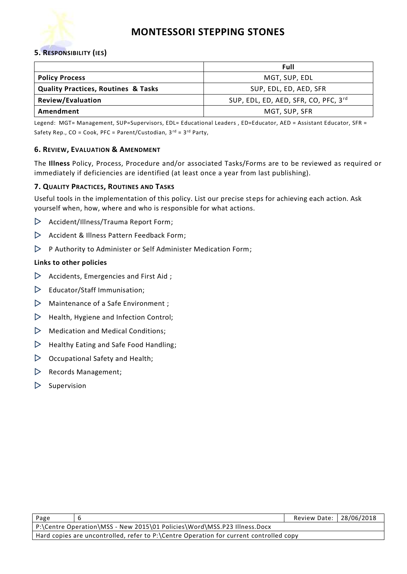

#### **5. RESPONSIBILITY (IES)**

|                                                                  | Full                   |  |
|------------------------------------------------------------------|------------------------|--|
| <b>Policy Process</b><br>MGT, SUP, EDL                           |                        |  |
| <b>Quality Practices, Routines &amp; Tasks</b>                   | SUP, EDL, ED, AED, SFR |  |
| <b>Review/Evaluation</b><br>SUP, EDL, ED, AED, SFR, CO, PFC, 3rd |                        |  |
| Amendment                                                        | MGT, SUP, SFR          |  |

Legend: MGT= Management, SUP=Supervisors, EDL= Educational Leaders, ED=Educator, AED = Assistant Educator, SFR = Safety Rep.,  $CO = Cook$ , PFC = Parent/Custodian,  $3^{rd} = 3^{rd}$  Party,

#### **6. REVIEW, EVALUATION & AMENDMENT**

The **Illness** Policy, Process, Procedure and/or associated Tasks/Forms are to be reviewed as required or immediately if deficiencies are identified (at least once a year from last publishing).

#### **7. QUALITY PRACTICES, ROUTINES AND TASKS**

Useful tools in the implementation of this policy. List our precise steps for achieving each action. Ask yourself when, how, where and who is responsible for what actions.

- $\triangleright$  Accident/Illness/Trauma Report Form;
- Accident & Illness Pattern Feedback Form;
- $\triangleright$  P Authority to Administer or Self Administer Medication Form;

#### **Links to other policies**

- $\triangleright$  Accidents, Emergencies and First Aid;
- $\triangleright$  Educator/Staff Immunisation;
- $\triangleright$  Maintenance of a Safe Environment;
- $\triangleright$  Health, Hygiene and Infection Control;
- $\triangleright$  Medication and Medical Conditions;
- $\triangleright$  Healthy Eating and Safe Food Handling;
- $\triangleright$  Occupational Safety and Health;
- $\triangleright$  Records Management;
- $\triangleright$  Supervision

| Page                                                                                   |  | Review Date:   28/06/2018 |  |
|----------------------------------------------------------------------------------------|--|---------------------------|--|
| P:\Centre Operation\MSS - New 2015\01 Policies\Word\MSS.P23 Illness.Docx               |  |                           |  |
| Hard copies are uncontrolled, refer to P:\Centre Operation for current controlled copy |  |                           |  |